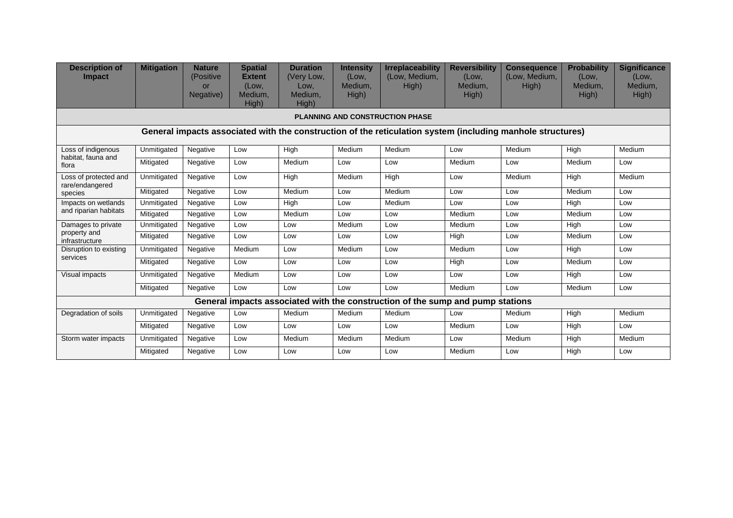| <b>Description of</b><br><b>Impact</b>                                                                     | <b>Mitigation</b> | <b>Nature</b><br>(Positive<br><b>or</b><br>Negative) | <b>Spatial</b><br><b>Extent</b><br>(Low,<br>Medium.<br>High) | <b>Duration</b><br>(Very Low,<br>Low,<br>Medium.<br>High) | <b>Intensity</b><br>(Low,<br>Medium.<br>High) | <b>Irreplaceability</b><br>(Low, Medium,<br>High) | <b>Reversibility</b><br>(Low,<br>Medium.<br>High) | <b>Consequence</b><br>(Low, Medium,<br>High) | <b>Probability</b><br>(Low,<br>Medium.<br>High) | <b>Significance</b><br>(Low,<br>Medium.<br>High) |  |  |
|------------------------------------------------------------------------------------------------------------|-------------------|------------------------------------------------------|--------------------------------------------------------------|-----------------------------------------------------------|-----------------------------------------------|---------------------------------------------------|---------------------------------------------------|----------------------------------------------|-------------------------------------------------|--------------------------------------------------|--|--|
| <b>PLANNING AND CONSTRUCTION PHASE</b>                                                                     |                   |                                                      |                                                              |                                                           |                                               |                                                   |                                                   |                                              |                                                 |                                                  |  |  |
| General impacts associated with the construction of the reticulation system (including manhole structures) |                   |                                                      |                                                              |                                                           |                                               |                                                   |                                                   |                                              |                                                 |                                                  |  |  |
| Loss of indigenous<br>habitat, fauna and<br>flora                                                          | Unmitigated       | Negative                                             | Low                                                          | High                                                      | Medium                                        | Medium                                            | Low                                               | Medium                                       | High                                            | Medium                                           |  |  |
|                                                                                                            | Mitigated         | Negative                                             | Low                                                          | Medium                                                    | Low                                           | Low                                               | Medium                                            | Low                                          | Medium                                          | Low                                              |  |  |
| Loss of protected and<br>rare/endangered<br>species                                                        | Unmitigated       | Negative                                             | Low                                                          | <b>High</b>                                               | Medium                                        | High                                              | Low                                               | Medium                                       | High                                            | Medium                                           |  |  |
|                                                                                                            | Mitigated         | Negative                                             | Low                                                          | Medium                                                    | Low                                           | Medium                                            | Low                                               | Low                                          | Medium                                          | Low                                              |  |  |
| Impacts on wetlands<br>and riparian habitats                                                               | Unmitigated       | Negative                                             | Low                                                          | High                                                      | Low                                           | Medium                                            | Low                                               | Low                                          | High                                            | Low                                              |  |  |
|                                                                                                            | Mitigated         | Negative                                             | Low                                                          | Medium                                                    | Low                                           | Low                                               | Medium                                            | Low                                          | Medium                                          | Low                                              |  |  |
| Damages to private<br>property and<br>infrastructure                                                       | Unmitigated       | Negative                                             | Low                                                          | Low                                                       | Medium                                        | Low                                               | Medium                                            | Low                                          | High                                            | Low                                              |  |  |
|                                                                                                            | Mitigated         | Negative                                             | Low                                                          | Low                                                       | Low                                           | Low                                               | High                                              | Low                                          | Medium                                          | Low                                              |  |  |
| Disruption to existing<br>services                                                                         | Unmitigated       | Negative                                             | Medium                                                       | Low                                                       | Medium                                        | Low                                               | Medium                                            | Low                                          | High                                            | Low                                              |  |  |
|                                                                                                            | Mitigated         | Negative                                             | Low                                                          | Low                                                       | Low                                           | Low                                               | High                                              | Low                                          | Medium                                          | Low                                              |  |  |
| Visual impacts                                                                                             | Unmitigated       | Negative                                             | Medium                                                       | Low                                                       | Low                                           | Low                                               | Low                                               | Low                                          | High                                            | Low                                              |  |  |
|                                                                                                            | Mitigated         | Negative                                             | Low                                                          | Low                                                       | Low                                           | Low                                               | Medium                                            | Low                                          | Medium                                          | Low                                              |  |  |
| General impacts associated with the construction of the sump and pump stations                             |                   |                                                      |                                                              |                                                           |                                               |                                                   |                                                   |                                              |                                                 |                                                  |  |  |
| Degradation of soils                                                                                       | Unmitigated       | Negative                                             | Low                                                          | Medium                                                    | Medium                                        | Medium                                            | Low                                               | Medium                                       | High                                            | Medium                                           |  |  |
|                                                                                                            | Mitigated         | Negative                                             | Low                                                          | Low                                                       | Low                                           | Low                                               | Medium                                            | Low                                          | High                                            | Low                                              |  |  |
| Storm water impacts                                                                                        | Unmitigated       | Negative                                             | Low                                                          | Medium                                                    | Medium                                        | Medium                                            | Low                                               | Medium                                       | High                                            | Medium                                           |  |  |
|                                                                                                            | Mitigated         | Negative                                             | Low                                                          | Low                                                       | Low                                           | Low                                               | Medium                                            | Low                                          | High                                            | Low                                              |  |  |